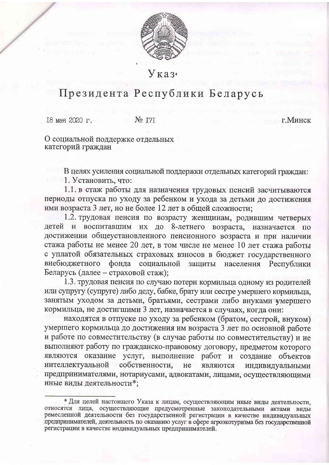

Указ.

## Президента Республики Беларусь

18 мая 2020 г.  $N_2$   $T7$  г. Минск

О социальной поддержке отдельных категорий граждан

В целях усиления социальной поддержки отдельных категорий граждан:

1. Установить, что:

1.1. в стаж работы для назначения трудовых пенсий засчитываются периоды отпуска по уходу за ребенком и ухода за детьми до достижения ими возраста 3 лет, но не более 12 лет в общей сложности;

1.2. трудовая пенсия по возрасту женщинам, родившим четверых детей и воспитавшим их до 8-летнего возраста, назначается по достижении общеустановленного пенсионного возраста и при наличии стажа работы не менее 20 лет, в том числе не менее 10 лет стажа работы с уплатой обязательных страховых взносов в бюджет государственного внебюджетного фонда социальной защиты населения Республики Беларусь (далее - страховой стаж);

1.3. трудовая пенсия по случаю потери кормильца одному из родителей или супругу (супруге) либо деду, бабке, брату или сестре умершего кормильца, занятым уходом за детьми, братьями, сестрами либо внуками умершего кормильца, не достигшими 3 лет, назначается в случаях, когда они:

находятся в отпуске по уходу за ребенком (братом, сестрой, внуком) умершего кормильца до достижения им возраста 3 лет по основной работе и работе по совместительству (в случае работы по совместительству) и не выполняют работу по гражданско-правовому договору, предметом которого являются оказание услуг, выполнение работ и создание объектов интеллектуальной собственности, не являются индивидуальными предпринимателями, нотариусами, адвокатами, лицами, осуществляющими иные виды деятельности\*;

<sup>\*</sup> Для целей настоящего Указа к лицам, осуществляющим иные виды деятельности, относятся лица, осуществляющие предусмотренные законодательными актами виды ремесленной деятельности без государственной регистрации в качестве индивидуальных предпринимателей, деятельность по оказанию услуг в сфере агроэкотуризма без государственной регистрации в качестве индивидуальных предпринимателей.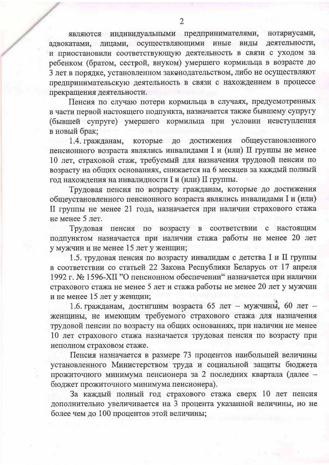являются индивидуальными предпринимателями, нотариусами, адвокатами, лицами, осуществляющими иные виды деятельности, и приостановили соответствующую деятельность в связи с уходом за ребенком (братом, сестрой, внуком) умершего кормильца в возрасте до 3 лет в порядке, установленном законодательством, либо не осуществляют предпринимательскую деятельность в связи с нахождением в процессе прекращения деятельности.

Пенсия по случаю потери кормильца в случаях, предусмотренных в части первой настоящего подпункта, назначается также бывшему супругу (бывшей супруге) умершего кормильца при условии невступления в новый брак;

которые до достижения общеустановленного 1.4. гражданам, пенсионного возраста являлись инвалидами I и (или) II группы не менее 10 лет, страховой стаж, требуемый для назначения трудовой пенсии по возрасту на общих основаниях, снижается на 6 месяцев за каждый полный год нахождения на инвалидности I и (или) II группы.

Трудовая пенсия по возрасту гражданам, которые до достижения общеустановленного пенсионного возраста являлись инвалидами I и (или) II группы не менее 21 года, назначается при наличии страхового стажа не менее 5 лет.

Трудовая пенсия по возрасту в соответствии с настоящим подпунктом назначается при наличии стажа работы не менее 20 лет у мужчин и не менее 15 лет у женщин;

1.5. трудовая пенсия по возрасту инвалидам с детства I и II группы в соответствии со статьей 22 Закона Республики Беларусь от 17 апреля 1992 г. № 1596-ХІІ "О пенсионном обеспечении" назначается при наличии страхового стажа не менее 5 лет и стажа работы не менее 20 лет у мужчин и не менее 15 лет у женщин;

1.6. гражданам, достигшим возраста 65 лет - мужчины, 60 лет женщины, не имеющим требуемого страхового стажа для назначения трудовой пенсии по возрасту на общих основаниях, при наличии не менее 10 лет страхового стажа назначается трудовая пенсия по возрасту при неполном страховом стаже.

Пенсия назначается в размере 73 процентов наибольшей величины установленного Министерством труда и социальной защиты бюджета прожиточного минимума пенсионера за 2 последних квартала (далее бюджет прожиточного минимума пенсионера).

За каждый полный год страхового стажа сверх 10 лет пенсия дополнительно увеличивается на 3 процента указанной величины, но не более чем до 100 процентов этой величины;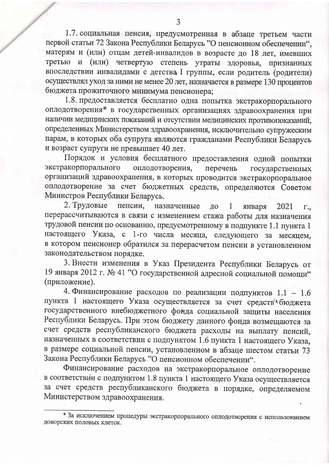1.7. социальная пенсия, предусмотренная в абзаце третьем части первой статьи 72 Закона Республики Беларусь "О пенсионном обеспечении", матерям и (или) отцам детей-инвалидов в возрасте до 18 лет, имевших третью и (или) четвертую степень утраты здоровья, признанных впоследствии инвалидами с детства I группы, если родитель (родители) осуществлял уход за ними не менее 20 лет, назначается в размере 130 процентов бюджета прожиточного минимума пенсионера;

1.8. предоставляется бесплатно одна попытка экстракорпорального оплодотворения\* в государственных организациях здравоохранения при наличии медицинских показаний и отсутствии медицинских противопоказаний. определенных Министерством здравоохранения, исключительно супружеским парам, в которых оба супруга являются гражданами Республики Беларусь и возраст супруги не превышает 40 лет.

Порядок и условия бесплатного предоставления одной попытки оплодотворения, экстракорпорального перечень государственных организаций здравоохранения, в которых проводится экстракорпоральное оплодотворение за счет бюджетных средств, определяются Советом Министров Республики Беларусь.

2. Трудовые пенсии, назначенные ДО января 2021 1  $\Gamma_{\bullet\bullet}$ перерассчитываются в связи с изменением стажа работы для назначения трудовой пенсии по основанию, предусмотренному в подпункте 1.1 пункта 1 настоящего Указа, с 1-го числа месяца, следующего за месяцем, в котором пенсионер обратился за перерасчетом пенсии в установленном законодательством порядке.

3. Внести изменения в Указ Президента Республики Беларусь от 19 января 2012 г. № 41 "О государственной адресной социальной помощи" (приложение).

4. Финансирование расходов по реализации подпунктов 1.1 - 1.6 пункта 1 настоящего Указа осуществляется за счет средств бюджета государственного внебюджетного фонда социальной защиты населения Республики Беларусь. При этом бюджету данного фонда возмещаются за счет средств республиканского бюджета расходы на выплату пенсий, назначенных в соответствии с подпунктом 1.6 пункта 1 настоящего Указа, в размере социальной пенсии, установленном в абзаце шестом статьи 73 Закона Республики Беларусь "О пенсионном обеспечении".

Финансирование расходов на экстракорпоральное оплодотворение в соответствии с подпунктом 1.8 пункта 1 настоящего Указа осуществляется за счет средств республиканского бюджета в порядке, определяемом Министерством здравоохранения.

<sup>\*</sup> За исключением процедуры экстракорпорального оплодотворения с использованием донорских половых клеток.